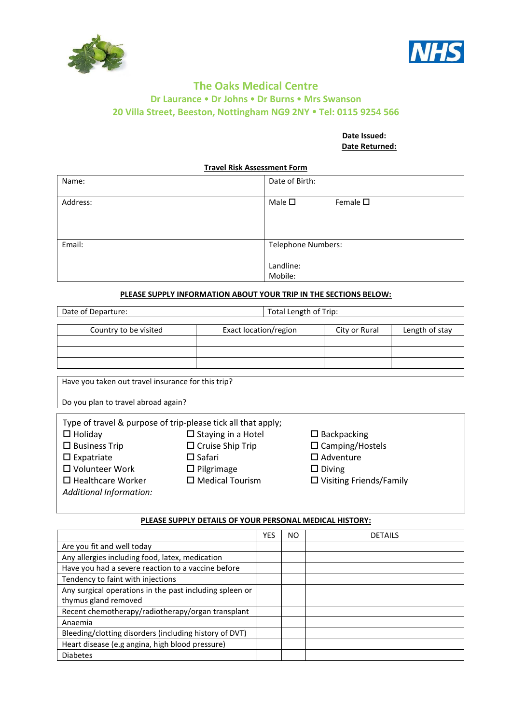



### **The Oaks Medical Centre Dr Laurance Dr Johns Dr Burns Mrs Swanson 20 Villa Street, Beeston, Nottingham NG9 2NY Tel: 0115 9254 566**

#### **Date Issued: Date Returned:**

**Travel Risk Assessment Form**

| Name:    | Date of Birth:                                    |  |  |
|----------|---------------------------------------------------|--|--|
| Address: | Male $\square$<br>Female $\square$                |  |  |
| Email:   | <b>Telephone Numbers:</b><br>Landline:<br>Mobile: |  |  |

#### **PLEASE SUPPLY INFORMATION ABOUT YOUR TRIP IN THE SECTIONS BELOW:**

Date of Departure: Total Length of Trip:

*Additional Information:* 

Country to be visited Exact location/region City or Rural Length of stay

Have you taken out travel insurance for this trip? Do you plan to travel abroad again? Type of travel & purpose of trip-please tick all that apply;  $\square$  Holiday  $\square$  Staying in a Hotel  $\square$  Backpacking  $\square$  Business Trip  $\square$  Cruise Ship Trip  $\square$  Camping/Hostels  $\square$  Expatriate  $\square$  Safari  $\square$  Adventure  $\square$  Volunteer Work  $\square$  Pilgrimage  $\square$  Diving  $\Box$  Healthcare Worker  $\Box$  Medical Tourism  $\Box$  Visiting Friends/Family

#### **PLEASE SUPPLY DETAILS OF YOUR PERSONAL MEDICAL HISTORY:**

|                                                         | YES | ΝO | <b>DETAILS</b> |
|---------------------------------------------------------|-----|----|----------------|
| Are you fit and well today                              |     |    |                |
| Any allergies including food, latex, medication         |     |    |                |
| Have you had a severe reaction to a vaccine before      |     |    |                |
| Tendency to faint with injections                       |     |    |                |
| Any surgical operations in the past including spleen or |     |    |                |
| thymus gland removed                                    |     |    |                |
| Recent chemotherapy/radiotherapy/organ transplant       |     |    |                |
| Anaemia                                                 |     |    |                |
| Bleeding/clotting disorders (including history of DVT)  |     |    |                |
| Heart disease (e.g angina, high blood pressure)         |     |    |                |
| <b>Diabetes</b>                                         |     |    |                |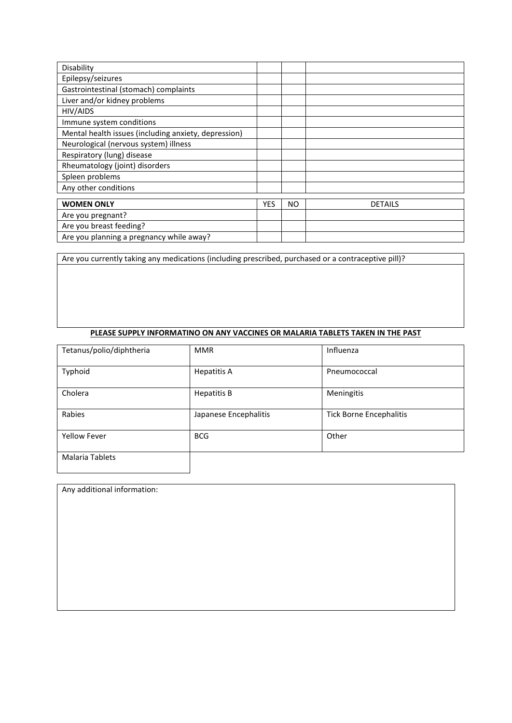| Disability                                           |            |     |                |
|------------------------------------------------------|------------|-----|----------------|
| Epilepsy/seizures                                    |            |     |                |
| Gastrointestinal (stomach) complaints                |            |     |                |
| Liver and/or kidney problems                         |            |     |                |
| HIV/AIDS                                             |            |     |                |
| Immune system conditions                             |            |     |                |
| Mental health issues (including anxiety, depression) |            |     |                |
| Neurological (nervous system) illness                |            |     |                |
| Respiratory (lung) disease                           |            |     |                |
| Rheumatology (joint) disorders                       |            |     |                |
| Spleen problems                                      |            |     |                |
| Any other conditions                                 |            |     |                |
| <b>WOMEN ONLY</b>                                    | <b>YES</b> | NO. | <b>DETAILS</b> |
|                                                      |            |     |                |
| Are you pregnant?                                    |            |     |                |
| Are you breast feeding?                              |            |     |                |
| Are you planning a pregnancy while away?             |            |     |                |

Are you currently taking any medications (including prescribed, purchased or a contraceptive pill)?

#### **PLEASE SUPPLY INFORMATINO ON ANY VACCINES OR MALARIA TABLETS TAKEN IN THE PAST**

| Tetanus/polio/diphtheria | <b>MMR</b>            | Influenza                      |
|--------------------------|-----------------------|--------------------------------|
| Typhoid                  | <b>Hepatitis A</b>    | Pneumococcal                   |
| Cholera                  | <b>Hepatitis B</b>    | Meningitis                     |
| Rabies                   | Japanese Encephalitis | <b>Tick Borne Encephalitis</b> |
| <b>Yellow Fever</b>      | <b>BCG</b>            | Other                          |
| Malaria Tablets          |                       |                                |

Any additional information: